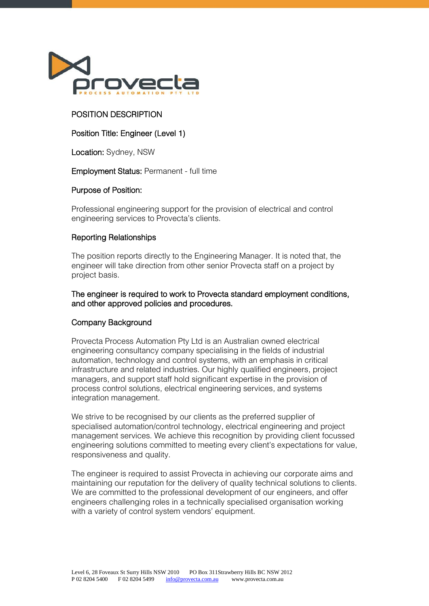

# POSITION DESCRIPTION

# Position Title: Engineer (Level 1)

Location: Sydney, NSW

### Employment Status: Permanent - full time

### Purpose of Position:

Professional engineering support for the provision of electrical and control engineering services to Provecta's clients.

### Reporting Relationships

The position reports directly to the Engineering Manager. It is noted that, the engineer will take direction from other senior Provecta staff on a project by project basis.

The engineer is required to work to Provecta standard employment conditions, and other approved policies and procedures.

### Company Background

Provecta Process Automation Pty Ltd is an Australian owned electrical engineering consultancy company specialising in the fields of industrial automation, technology and control systems, with an emphasis in critical infrastructure and related industries. Our highly qualified engineers, project managers, and support staff hold significant expertise in the provision of process control solutions, electrical engineering services, and systems integration management.

We strive to be recognised by our clients as the preferred supplier of specialised automation/control technology, electrical engineering and project management services. We achieve this recognition by providing client focussed engineering solutions committed to meeting every client's expectations for value, responsiveness and quality.

The engineer is required to assist Provecta in achieving our corporate aims and maintaining our reputation for the delivery of quality technical solutions to clients. We are committed to the professional development of our engineers, and offer engineers challenging roles in a technically specialised organisation working with a variety of control system vendors' equipment.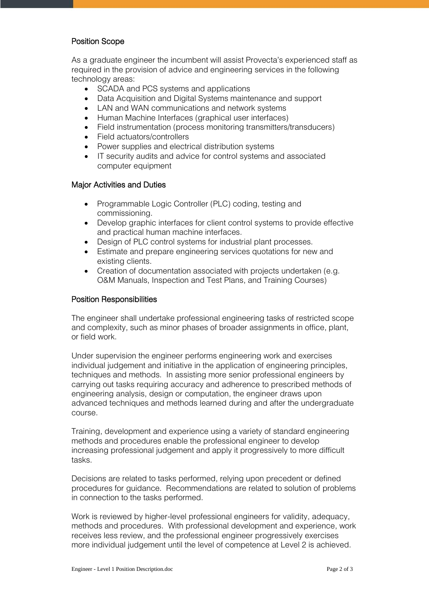## Position Scope

As a graduate engineer the incumbent will assist Provecta's experienced staff as required in the provision of advice and engineering services in the following technology areas:

- SCADA and PCS systems and applications
- Data Acquisition and Digital Systems maintenance and support
- LAN and WAN communications and network systems
- Human Machine Interfaces (graphical user interfaces)
- Field instrumentation (process monitoring transmitters/transducers)
- Field actuators/controllers
- Power supplies and electrical distribution systems
- IT security audits and advice for control systems and associated computer equipment

## Major Activities and Duties

- Programmable Logic Controller (PLC) coding, testing and commissioning.
- Develop graphic interfaces for client control systems to provide effective and practical human machine interfaces.
- Design of PLC control systems for industrial plant processes.
- Estimate and prepare engineering services quotations for new and existing clients.
- Creation of documentation associated with projects undertaken (e.g. O&M Manuals, Inspection and Test Plans, and Training Courses)

## Position Responsibilities

The engineer shall undertake professional engineering tasks of restricted scope and complexity, such as minor phases of broader assignments in office, plant, or field work.

Under supervision the engineer performs engineering work and exercises individual judgement and initiative in the application of engineering principles, techniques and methods. In assisting more senior professional engineers by carrying out tasks requiring accuracy and adherence to prescribed methods of engineering analysis, design or computation, the engineer draws upon advanced techniques and methods learned during and after the undergraduate course.

Training, development and experience using a variety of standard engineering methods and procedures enable the professional engineer to develop increasing professional judgement and apply it progressively to more difficult tasks.

Decisions are related to tasks performed, relying upon precedent or defined procedures for guidance. Recommendations are related to solution of problems in connection to the tasks performed.

Work is reviewed by higher-level professional engineers for validity, adequacy, methods and procedures. With professional development and experience, work receives less review, and the professional engineer progressively exercises more individual judgement until the level of competence at Level 2 is achieved.